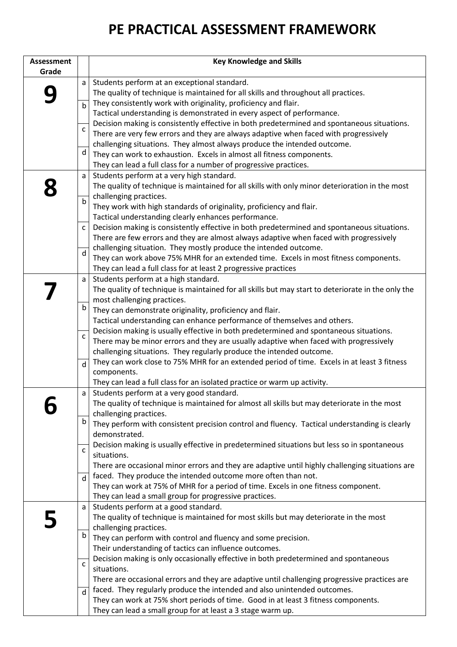## **PE PRACTICAL ASSESSMENT FRAMEWORK**

| <b>Assessment</b> |              | <b>Key Knowledge and Skills</b>                                                                                         |
|-------------------|--------------|-------------------------------------------------------------------------------------------------------------------------|
| Grade             |              |                                                                                                                         |
|                   | a            | Students perform at an exceptional standard.                                                                            |
|                   |              | The quality of technique is maintained for all skills and throughout all practices.                                     |
|                   | $\mathsf b$  | They consistently work with originality, proficiency and flair.                                                         |
|                   |              | Tactical understanding is demonstrated in every aspect of performance.                                                  |
|                   |              | Decision making is consistently effective in both predetermined and spontaneous situations.                             |
|                   | C            | There are very few errors and they are always adaptive when faced with progressively                                    |
|                   |              | challenging situations. They almost always produce the intended outcome.                                                |
|                   | d            | They can work to exhaustion. Excels in almost all fitness components.                                                   |
|                   |              | They can lead a full class for a number of progressive practices.                                                       |
|                   | a            | Students perform at a very high standard.                                                                               |
|                   |              | The quality of technique is maintained for all skills with only minor deterioration in the most                         |
|                   | b            | challenging practices.                                                                                                  |
|                   |              | They work with high standards of originality, proficiency and flair.                                                    |
|                   |              | Tactical understanding clearly enhances performance.                                                                    |
|                   | $\mathsf{C}$ | Decision making is consistently effective in both predetermined and spontaneous situations.                             |
|                   |              | There are few errors and they are almost always adaptive when faced with progressively                                  |
|                   | d            | challenging situation. They mostly produce the intended outcome.                                                        |
|                   |              | They can work above 75% MHR for an extended time. Excels in most fitness components.                                    |
|                   |              | They can lead a full class for at least 2 progressive practices                                                         |
|                   | a            | Students perform at a high standard.                                                                                    |
|                   |              | The quality of technique is maintained for all skills but may start to deteriorate in the only the                      |
|                   |              | most challenging practices.                                                                                             |
|                   | b            | They can demonstrate originality, proficiency and flair.                                                                |
|                   |              | Tactical understanding can enhance performance of themselves and others.                                                |
|                   | $\mathsf{C}$ | Decision making is usually effective in both predetermined and spontaneous situations.                                  |
|                   |              | There may be minor errors and they are usually adaptive when faced with progressively                                   |
|                   |              | challenging situations. They regularly produce the intended outcome.                                                    |
|                   | d            | They can work close to 75% MHR for an extended period of time. Excels in at least 3 fitness                             |
|                   |              | components.                                                                                                             |
|                   |              | They can lead a full class for an isolated practice or warm up activity.                                                |
|                   | a            | Students perform at a very good standard.                                                                               |
|                   |              | The quality of technique is maintained for almost all skills but may deteriorate in the most                            |
|                   | b            | challenging practices.<br>They perform with consistent precision control and fluency. Tactical understanding is clearly |
|                   |              | demonstrated.                                                                                                           |
|                   |              | Decision making is usually effective in predetermined situations but less so in spontaneous                             |
|                   | $\mathsf{C}$ | situations.                                                                                                             |
|                   |              | There are occasional minor errors and they are adaptive until highly challenging situations are                         |
|                   |              | faced. They produce the intended outcome more often than not.                                                           |
|                   | d            | They can work at 75% of MHR for a period of time. Excels in one fitness component.                                      |
|                   |              | They can lead a small group for progressive practices.                                                                  |
|                   | a            | Students perform at a good standard.                                                                                    |
|                   |              | The quality of technique is maintained for most skills but may deteriorate in the most                                  |
|                   |              | challenging practices.                                                                                                  |
|                   | $\mathsf b$  | They can perform with control and fluency and some precision.                                                           |
|                   |              | Their understanding of tactics can influence outcomes.                                                                  |
|                   |              | Decision making is only occasionally effective in both predetermined and spontaneous                                    |
|                   | $\mathsf{C}$ | situations.                                                                                                             |
|                   |              | There are occasional errors and they are adaptive until challenging progressive practices are                           |
|                   | d            | faced. They regularly produce the intended and also unintended outcomes.                                                |
|                   |              | They can work at 75% short periods of time. Good in at least 3 fitness components.                                      |
|                   |              | They can lead a small group for at least a 3 stage warm up.                                                             |